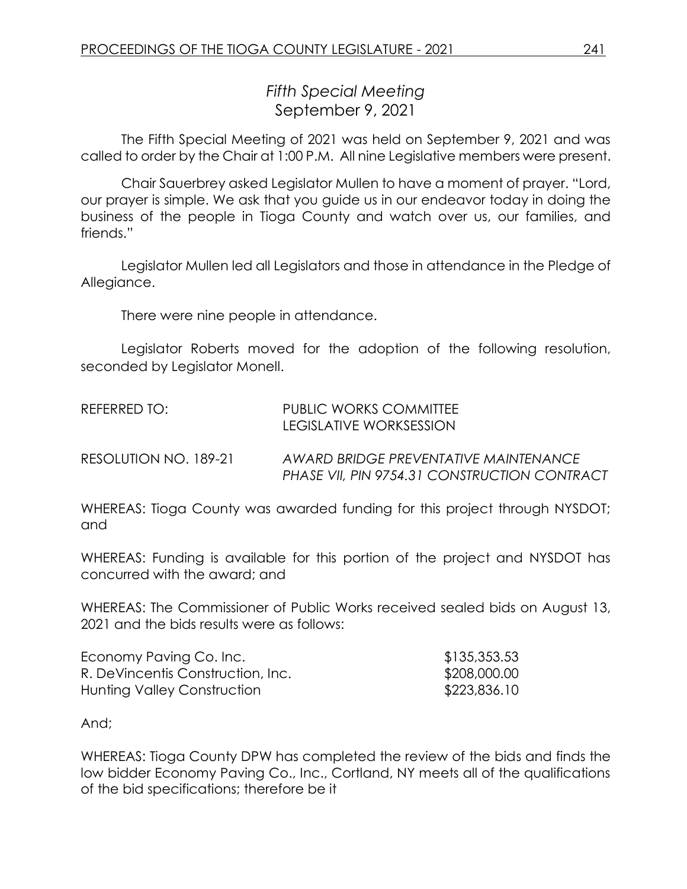## *Fifth Special Meeting* September 9, 2021

The Fifth Special Meeting of 2021 was held on September 9, 2021 and was called to order by the Chair at 1:00 P.M. All nine Legislative members were present.

Chair Sauerbrey asked Legislator Mullen to have a moment of prayer. "Lord, our prayer is simple. We ask that you guide us in our endeavor today in doing the business of the people in Tioga County and watch over us, our families, and friends."

Legislator Mullen led all Legislators and those in attendance in the Pledge of Allegiance.

There were nine people in attendance.

Legislator Roberts moved for the adoption of the following resolution, seconded by Legislator Monell.

| REFERRED TO:          | PUBLIC WORKS COMMITTEE<br>TEGISI ATIVE WORKSESSION                                    |
|-----------------------|---------------------------------------------------------------------------------------|
| RESOLUTION NO. 189-21 | AWARD BRIDGE PREVENTATIVE MAINTENANCE<br>PHASE VII, PIN 9754.31 CONSTRUCTION CONTRACT |

WHEREAS: Tioga County was awarded funding for this project through NYSDOT; and

WHEREAS: Funding is available for this portion of the project and NYSDOT has concurred with the award; and

WHEREAS: The Commissioner of Public Works received sealed bids on August 13, 2021 and the bids results were as follows:

| Economy Paving Co. Inc.           | \$135,353.53 |
|-----------------------------------|--------------|
| R. DeVincentis Construction, Inc. | \$208,000.00 |
| Hunting Valley Construction       | \$223,836.10 |

And;

WHEREAS: Tioga County DPW has completed the review of the bids and finds the low bidder Economy Paving Co., Inc., Cortland, NY meets all of the qualifications of the bid specifications; therefore be it